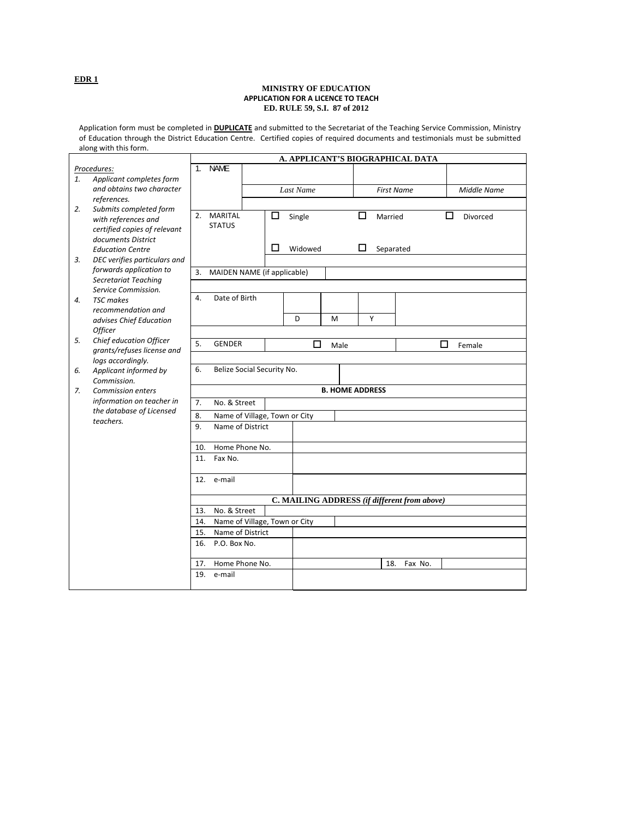## **MINISTRY OF EDUCATION APPLICATION FOR A LICENCE TO TEACH ED. RULE 59, S.I. 87 of 2012**

Application form must be completed in **DUPLICATE** and submitted to the Secretariat of the Teaching Service Commission, Ministry of Education through the District Education Centre. Certified copies of required documents and testimonials must be submitted along with this form.

|    |                                             | A. APPLICANT'S BIOGRAPHICAL DATA |                               |  |   |           |      |                        |                   |                                              |        |                    |  |
|----|---------------------------------------------|----------------------------------|-------------------------------|--|---|-----------|------|------------------------|-------------------|----------------------------------------------|--------|--------------------|--|
|    | Procedures:                                 | $1_{-}$                          | <b>NAME</b>                   |  |   |           |      |                        |                   |                                              |        |                    |  |
| 1. | Applicant completes form                    |                                  |                               |  |   |           |      |                        |                   |                                              |        |                    |  |
|    | and obtains two character                   |                                  |                               |  |   | Last Name |      |                        | <b>First Name</b> |                                              |        | <b>Middle Name</b> |  |
|    | references.                                 |                                  |                               |  |   |           |      |                        |                   |                                              |        |                    |  |
| 2. | Submits completed form                      | 2.                               | MARITAL                       |  |   |           |      | □                      |                   |                                              | □      |                    |  |
|    | with references and                         |                                  | <b>STATUS</b>                 |  | □ | Single    |      |                        | Married           |                                              |        | Divorced           |  |
|    | certified copies of relevant                |                                  |                               |  |   |           |      |                        |                   |                                              |        |                    |  |
|    | documents District                          |                                  |                               |  |   |           |      |                        |                   |                                              |        |                    |  |
|    | <b>Education Centre</b>                     |                                  |                               |  | П | Widowed   |      | □                      | Separated         |                                              |        |                    |  |
| 3. | DEC verifies particulars and                |                                  |                               |  |   |           |      |                        |                   |                                              |        |                    |  |
|    | forwards application to                     | 3.                               | MAIDEN NAME (if applicable)   |  |   |           |      |                        |                   |                                              |        |                    |  |
|    | Secretariat Teaching<br>Service Commission. |                                  |                               |  |   |           |      |                        |                   |                                              |        |                    |  |
| 4. | <b>TSC</b> makes                            | 4.                               | Date of Birth                 |  |   |           |      |                        |                   |                                              |        |                    |  |
|    | recommendation and                          |                                  |                               |  |   |           |      |                        |                   |                                              |        |                    |  |
|    | advises Chief Education                     |                                  |                               |  |   | D         | М    | Y                      |                   |                                              |        |                    |  |
|    | <b>Officer</b>                              |                                  |                               |  |   |           |      |                        |                   |                                              |        |                    |  |
| 5. | Chief education Officer                     | 5.                               | <b>GENDER</b>                 |  |   | □         |      |                        |                   |                                              | □      |                    |  |
|    | grants/refuses license and                  |                                  |                               |  |   |           | Male |                        |                   |                                              | Female |                    |  |
|    | logs accordingly.                           |                                  |                               |  |   |           |      |                        |                   |                                              |        |                    |  |
| 6. | Applicant informed by                       | 6.                               | Belize Social Security No.    |  |   |           |      |                        |                   |                                              |        |                    |  |
|    | Commission.                                 |                                  |                               |  |   |           |      |                        |                   |                                              |        |                    |  |
| 7. | <b>Commission enters</b>                    |                                  |                               |  |   |           |      | <b>B. HOME ADDRESS</b> |                   |                                              |        |                    |  |
|    | information on teacher in                   | 7.                               | No. & Street                  |  |   |           |      |                        |                   |                                              |        |                    |  |
|    | the database of Licensed<br>teachers.       | 8.                               | Name of Village, Town or City |  |   |           |      |                        |                   |                                              |        |                    |  |
|    |                                             | 9.                               | Name of District              |  |   |           |      |                        |                   |                                              |        |                    |  |
|    |                                             |                                  |                               |  |   |           |      |                        |                   |                                              |        |                    |  |
|    |                                             | Home Phone No.<br>10.            |                               |  |   |           |      |                        |                   |                                              |        |                    |  |
|    |                                             | 11.                              | Fax No.                       |  |   |           |      |                        |                   |                                              |        |                    |  |
|    |                                             |                                  |                               |  |   |           |      |                        |                   |                                              |        |                    |  |
|    |                                             | 12.                              | e-mail                        |  |   |           |      |                        |                   |                                              |        |                    |  |
|    |                                             |                                  |                               |  |   |           |      |                        |                   |                                              |        |                    |  |
|    |                                             |                                  |                               |  |   |           |      |                        |                   | C. MAILING ADDRESS (if different from above) |        |                    |  |
|    |                                             | 13.                              | No. & Street                  |  |   |           |      |                        |                   |                                              |        |                    |  |
|    |                                             | 14.                              | Name of Village, Town or City |  |   |           |      |                        |                   |                                              |        |                    |  |
|    |                                             | 15.                              | Name of District              |  |   |           |      |                        |                   |                                              |        |                    |  |
|    |                                             | 16.                              | P.O. Box No.                  |  |   |           |      |                        |                   |                                              |        |                    |  |
|    |                                             | 17.                              | Home Phone No.                |  |   |           |      |                        | 18.               | Fax No.                                      |        |                    |  |
|    |                                             | 19.                              | e-mail                        |  |   |           |      |                        |                   |                                              |        |                    |  |
|    |                                             |                                  |                               |  |   |           |      |                        |                   |                                              |        |                    |  |

## **EDR 1**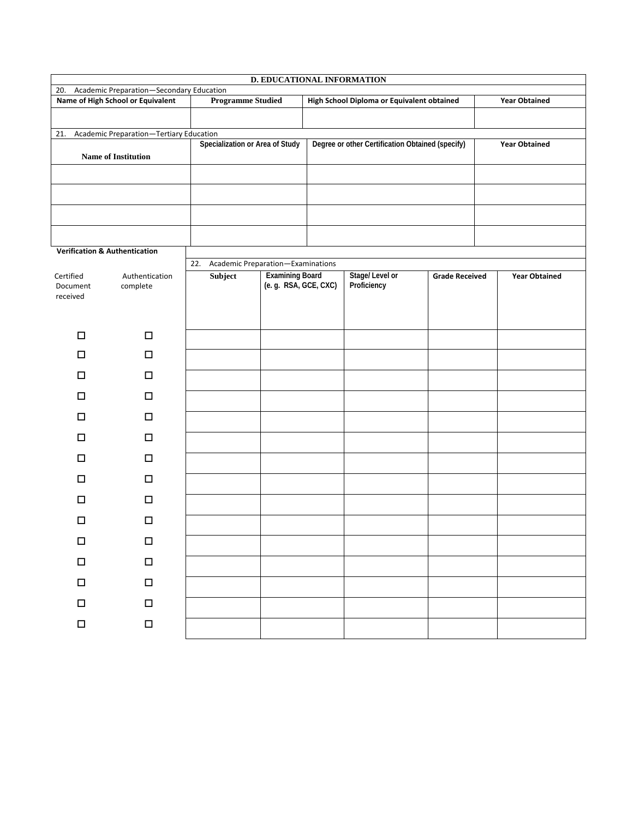| D. EDUCATIONAL INFORMATION                                                                         |                                   |                                 |                                                 |  |                                            |                       |                      |  |  |  |  |  |  |  |
|----------------------------------------------------------------------------------------------------|-----------------------------------|---------------------------------|-------------------------------------------------|--|--------------------------------------------|-----------------------|----------------------|--|--|--|--|--|--|--|
| Academic Preparation-Secondary Education<br>20.                                                    |                                   |                                 |                                                 |  |                                            |                       |                      |  |  |  |  |  |  |  |
|                                                                                                    | Name of High School or Equivalent | <b>Programme Studied</b>        |                                                 |  | High School Diploma or Equivalent obtained | <b>Year Obtained</b>  |                      |  |  |  |  |  |  |  |
|                                                                                                    |                                   |                                 |                                                 |  |                                            |                       |                      |  |  |  |  |  |  |  |
| Academic Preparation-Tertiary Education<br>21.<br>Degree or other Certification Obtained (specify) |                                   |                                 |                                                 |  |                                            |                       |                      |  |  |  |  |  |  |  |
|                                                                                                    | <b>Name of Institution</b>        | Specialization or Area of Study |                                                 |  |                                            |                       | <b>Year Obtained</b> |  |  |  |  |  |  |  |
|                                                                                                    |                                   |                                 |                                                 |  |                                            |                       |                      |  |  |  |  |  |  |  |
|                                                                                                    |                                   |                                 |                                                 |  |                                            |                       |                      |  |  |  |  |  |  |  |
|                                                                                                    |                                   |                                 |                                                 |  |                                            |                       |                      |  |  |  |  |  |  |  |
| <b>Verification &amp; Authentication</b>                                                           |                                   |                                 |                                                 |  |                                            |                       |                      |  |  |  |  |  |  |  |
|                                                                                                    |                                   | 22.                             | Academic Preparation-Examinations               |  |                                            |                       |                      |  |  |  |  |  |  |  |
| Certified<br>Authentication<br>Document<br>complete<br>received                                    |                                   | Subject                         | <b>Examining Board</b><br>(e. g. RSA, GCE, CXC) |  | Stage/Level or<br>Proficiency              | <b>Grade Received</b> | <b>Year Obtained</b> |  |  |  |  |  |  |  |
| $\Box$                                                                                             | $\Box$                            |                                 |                                                 |  |                                            |                       |                      |  |  |  |  |  |  |  |
| □                                                                                                  | $\Box$                            |                                 |                                                 |  |                                            |                       |                      |  |  |  |  |  |  |  |
| ◻                                                                                                  | $\Box$                            |                                 |                                                 |  |                                            |                       |                      |  |  |  |  |  |  |  |
| □                                                                                                  | $\Box$                            |                                 |                                                 |  |                                            |                       |                      |  |  |  |  |  |  |  |
| ◻                                                                                                  | $\Box$                            |                                 |                                                 |  |                                            |                       |                      |  |  |  |  |  |  |  |
| ◻                                                                                                  | $\Box$                            |                                 |                                                 |  |                                            |                       |                      |  |  |  |  |  |  |  |
| □                                                                                                  | $\Box$                            |                                 |                                                 |  |                                            |                       |                      |  |  |  |  |  |  |  |
| ◻                                                                                                  | $\Box$                            |                                 |                                                 |  |                                            |                       |                      |  |  |  |  |  |  |  |
| □                                                                                                  | $\Box$                            |                                 |                                                 |  |                                            |                       |                      |  |  |  |  |  |  |  |
| □                                                                                                  | $\Box$                            |                                 |                                                 |  |                                            |                       |                      |  |  |  |  |  |  |  |
| $\Box$                                                                                             | $\Box$                            |                                 |                                                 |  |                                            |                       |                      |  |  |  |  |  |  |  |
| $\Box$                                                                                             | $\Box$                            |                                 |                                                 |  |                                            |                       |                      |  |  |  |  |  |  |  |
| $\Box$                                                                                             | $\Box$                            |                                 |                                                 |  |                                            |                       |                      |  |  |  |  |  |  |  |
| $\Box$                                                                                             | $\Box$                            |                                 |                                                 |  |                                            |                       |                      |  |  |  |  |  |  |  |
| $\Box$                                                                                             | $\Box$                            |                                 |                                                 |  |                                            |                       |                      |  |  |  |  |  |  |  |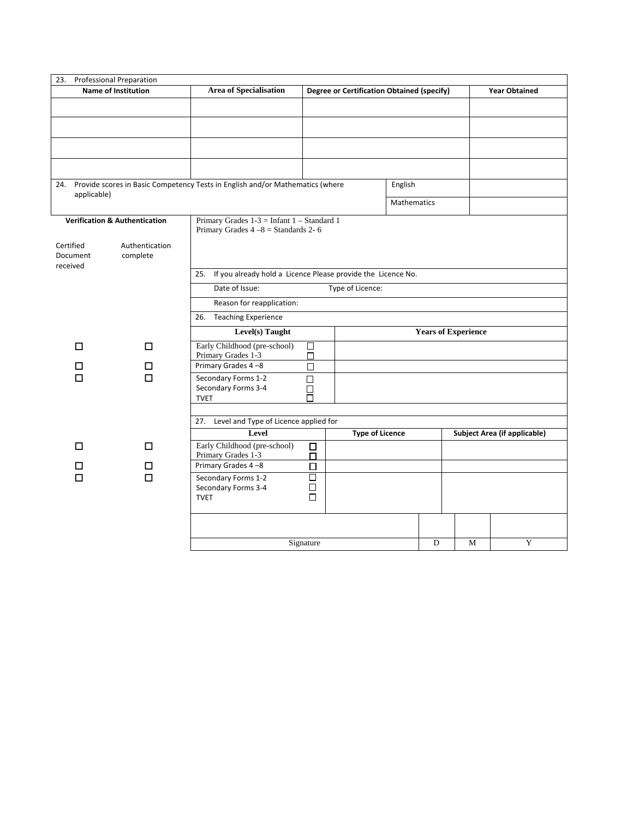| 23. Professional Preparation |                                          |                                                                                   |                                                   |                                                               |   |                            |   |  |  |  |  |  |  |
|------------------------------|------------------------------------------|-----------------------------------------------------------------------------------|---------------------------------------------------|---------------------------------------------------------------|---|----------------------------|---|--|--|--|--|--|--|
|                              | <b>Name of Institution</b>               | <b>Area of Specialisation</b>                                                     | <b>Degree or Certification Obtained (specify)</b> |                                                               |   | <b>Year Obtained</b>       |   |  |  |  |  |  |  |
|                              |                                          |                                                                                   |                                                   |                                                               |   |                            |   |  |  |  |  |  |  |
|                              |                                          |                                                                                   |                                                   |                                                               |   |                            |   |  |  |  |  |  |  |
|                              |                                          |                                                                                   |                                                   |                                                               |   |                            |   |  |  |  |  |  |  |
|                              |                                          |                                                                                   |                                                   |                                                               |   |                            |   |  |  |  |  |  |  |
|                              |                                          |                                                                                   |                                                   |                                                               |   |                            |   |  |  |  |  |  |  |
|                              |                                          |                                                                                   |                                                   |                                                               |   |                            |   |  |  |  |  |  |  |
|                              |                                          | 24. Provide scores in Basic Competency Tests in English and/or Mathematics (where |                                                   | English                                                       |   |                            |   |  |  |  |  |  |  |
| applicable)                  |                                          |                                                                                   |                                                   |                                                               |   |                            |   |  |  |  |  |  |  |
|                              |                                          |                                                                                   |                                                   | <b>Mathematics</b>                                            |   |                            |   |  |  |  |  |  |  |
|                              | <b>Verification &amp; Authentication</b> | Primary Grades $1-3$ = Infant $1$ – Standard 1                                    |                                                   |                                                               |   |                            |   |  |  |  |  |  |  |
|                              |                                          | Primary Grades $4-8$ = Standards 2-6                                              |                                                   |                                                               |   |                            |   |  |  |  |  |  |  |
| Certified                    | Authentication                           |                                                                                   |                                                   |                                                               |   |                            |   |  |  |  |  |  |  |
| Document                     | complete                                 |                                                                                   |                                                   |                                                               |   |                            |   |  |  |  |  |  |  |
| received                     |                                          | 25. If you already hold a Licence Please provide the Licence No.                  |                                                   |                                                               |   |                            |   |  |  |  |  |  |  |
|                              |                                          | Date of Issue:<br>Type of Licence:                                                |                                                   |                                                               |   |                            |   |  |  |  |  |  |  |
|                              |                                          |                                                                                   | Reason for reapplication:                         |                                                               |   |                            |   |  |  |  |  |  |  |
|                              |                                          | 26. Teaching Experience                                                           |                                                   |                                                               |   |                            |   |  |  |  |  |  |  |
|                              |                                          |                                                                                   |                                                   |                                                               |   | <b>Years of Experience</b> |   |  |  |  |  |  |  |
|                              |                                          | Level(s) Taught                                                                   |                                                   |                                                               |   |                            |   |  |  |  |  |  |  |
| □                            | □                                        | Early Childhood (pre-school)<br>Primary Grades 1-3                                | $\Box$<br>П                                       |                                                               |   |                            |   |  |  |  |  |  |  |
| □                            | □                                        | Primary Grades 4-8                                                                | □                                                 |                                                               |   |                            |   |  |  |  |  |  |  |
| □                            | □                                        | Secondary Forms 1-2                                                               | $\Box$                                            |                                                               |   |                            |   |  |  |  |  |  |  |
|                              |                                          | Secondary Forms 3-4                                                               | $\Box$                                            |                                                               |   |                            |   |  |  |  |  |  |  |
|                              |                                          | <b>TVET</b>                                                                       | п                                                 |                                                               |   |                            |   |  |  |  |  |  |  |
|                              |                                          | 27. Level and Type of Licence applied for                                         |                                                   |                                                               |   |                            |   |  |  |  |  |  |  |
|                              |                                          | Level                                                                             |                                                   | <b>Type of Licence</b><br><b>Subject Area (if applicable)</b> |   |                            |   |  |  |  |  |  |  |
| □                            | □                                        | Early Childhood (pre-school)                                                      | □                                                 |                                                               |   |                            |   |  |  |  |  |  |  |
|                              |                                          | Primary Grades 1-3                                                                | п                                                 |                                                               |   |                            |   |  |  |  |  |  |  |
| П                            | ш                                        | Primary Grades 4-8                                                                | □                                                 |                                                               |   |                            |   |  |  |  |  |  |  |
| $\Box$                       | П                                        | Secondary Forms 1-2<br>Secondary Forms 3-4                                        | □<br>□                                            |                                                               |   |                            |   |  |  |  |  |  |  |
|                              |                                          | <b>TVET</b>                                                                       | п                                                 |                                                               |   |                            |   |  |  |  |  |  |  |
|                              |                                          |                                                                                   |                                                   |                                                               |   |                            |   |  |  |  |  |  |  |
|                              |                                          |                                                                                   |                                                   |                                                               |   |                            |   |  |  |  |  |  |  |
|                              |                                          |                                                                                   |                                                   |                                                               |   |                            |   |  |  |  |  |  |  |
|                              |                                          |                                                                                   | Signature                                         |                                                               | D | M                          | Y |  |  |  |  |  |  |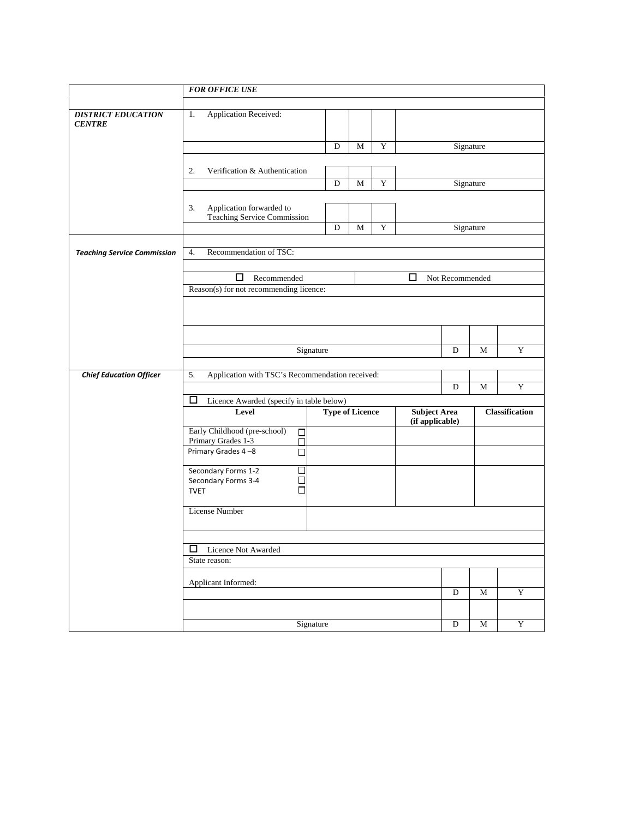|                                            | <b>FOR OFFICE USE</b>                                                |                        |                |                          |                                        |                 |                       |             |  |  |  |  |  |
|--------------------------------------------|----------------------------------------------------------------------|------------------------|----------------|--------------------------|----------------------------------------|-----------------|-----------------------|-------------|--|--|--|--|--|
|                                            |                                                                      |                        |                |                          |                                        |                 |                       |             |  |  |  |  |  |
| <b>DISTRICT EDUCATION</b><br><b>CENTRE</b> | <b>Application Received:</b><br>1.                                   |                        |                |                          |                                        |                 |                       |             |  |  |  |  |  |
|                                            |                                                                      | D                      | M              | $\mathbf Y$<br>Signature |                                        |                 |                       |             |  |  |  |  |  |
|                                            |                                                                      |                        |                |                          |                                        |                 |                       |             |  |  |  |  |  |
|                                            | Verification & Authentication<br>2.                                  |                        |                |                          |                                        |                 |                       |             |  |  |  |  |  |
|                                            |                                                                      | D                      | M              | Y                        |                                        | Signature       |                       |             |  |  |  |  |  |
|                                            | Application forwarded to<br>3.<br><b>Teaching Service Commission</b> |                        |                |                          |                                        |                 |                       |             |  |  |  |  |  |
|                                            |                                                                      | Signature              |                |                          |                                        |                 |                       |             |  |  |  |  |  |
| <b>Teaching Service Commission</b>         | Recommendation of TSC:<br>4.                                         |                        |                |                          |                                        |                 |                       |             |  |  |  |  |  |
|                                            |                                                                      |                        |                |                          |                                        |                 |                       |             |  |  |  |  |  |
|                                            | $\Box$<br>Recommended<br>Reason(s) for not recommending licence:     |                        |                |                          | □                                      | Not Recommended |                       |             |  |  |  |  |  |
|                                            |                                                                      |                        |                |                          |                                        |                 |                       |             |  |  |  |  |  |
|                                            |                                                                      |                        |                |                          |                                        |                 |                       |             |  |  |  |  |  |
|                                            |                                                                      |                        |                |                          |                                        |                 |                       |             |  |  |  |  |  |
|                                            |                                                                      | Signature              |                |                          |                                        | D               | M                     | Y           |  |  |  |  |  |
|                                            | Application with TSC's Recommendation received:                      |                        |                |                          |                                        |                 |                       |             |  |  |  |  |  |
| <b>Chief Education Officer</b>             | 5.                                                                   |                        |                |                          |                                        | D               | M                     | $\mathbf Y$ |  |  |  |  |  |
|                                            | ш<br>Licence Awarded (specify in table below)                        |                        |                |                          |                                        |                 |                       |             |  |  |  |  |  |
|                                            | Level                                                                | <b>Type of Licence</b> |                |                          | <b>Subject Area</b><br>(if applicable) |                 | <b>Classification</b> |             |  |  |  |  |  |
|                                            | Early Childhood (pre-school)<br>$\Box$<br>Primary Grades 1-3<br>П    |                        |                |                          |                                        |                 |                       |             |  |  |  |  |  |
|                                            | Primary Grades 4-8<br>□                                              |                        |                |                          |                                        |                 |                       |             |  |  |  |  |  |
|                                            | Secondary Forms 1-2<br>□                                             |                        |                |                          |                                        |                 |                       |             |  |  |  |  |  |
|                                            | Secondary Forms 3-4<br>□<br><b>TVET</b><br>П                         |                        |                |                          |                                        |                 |                       |             |  |  |  |  |  |
|                                            | License Number                                                       |                        |                |                          |                                        |                 |                       |             |  |  |  |  |  |
|                                            | □ Licence Not Awarded<br>State reason:                               |                        |                |                          |                                        |                 |                       |             |  |  |  |  |  |
|                                            |                                                                      |                        |                |                          |                                        |                 |                       |             |  |  |  |  |  |
|                                            |                                                                      |                        |                |                          |                                        |                 |                       |             |  |  |  |  |  |
|                                            | Applicant Informed:                                                  |                        |                |                          |                                        |                 |                       |             |  |  |  |  |  |
|                                            |                                                                      |                        | $\overline{D}$ | $\mathbf M$              | $\overline{\mathbf{Y}}$                |                 |                       |             |  |  |  |  |  |
|                                            |                                                                      |                        |                |                          |                                        |                 |                       |             |  |  |  |  |  |
|                                            | Signature                                                            |                        | ${\bf D}$      | $\mathbf M$              | $\mathbf Y$                            |                 |                       |             |  |  |  |  |  |